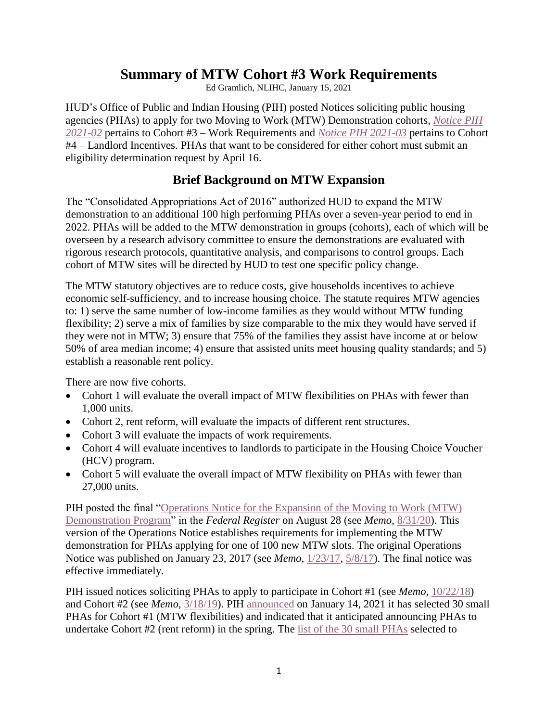# **Summary of MTW Cohort #3 Work Requirements**

Ed Gramlich, NLIHC, January 15, 2021

HUD's Office of Public and Indian Housing (PIH) posted Notices soliciting public housing agencies (PHAs) to apply for two Moving to Work (MTW) Demonstration cohorts, *[Notice PIH](https://www.hud.gov/sites/dfiles/PIH/documents/2021-02pihn.pdf)  [2021-02](https://www.hud.gov/sites/dfiles/PIH/documents/2021-02pihn.pdf)* pertains to Cohort #3 – Work Requirements and *[Notice PIH 2021-03](https://www.hud.gov/sites/dfiles/PIH/documents/2021-03pihn.pdf)* pertains to Cohort #4 – Landlord Incentives. PHAs that want to be considered for either cohort must submit an eligibility determination request by April 16.

## **Brief Background on MTW Expansion**

The "Consolidated Appropriations Act of 2016" authorized HUD to expand the MTW demonstration to an additional 100 high performing PHAs over a seven-year period to end in 2022. PHAs will be added to the MTW demonstration in groups (cohorts), each of which will be overseen by a research advisory committee to ensure the demonstrations are evaluated with rigorous research protocols, quantitative analysis, and comparisons to control groups. Each cohort of MTW sites will be directed by HUD to test one specific policy change.

The MTW statutory objectives are to reduce costs, give households incentives to achieve economic self-sufficiency, and to increase housing choice. The statute requires MTW agencies to: 1) serve the same number of low-income families as they would without MTW funding flexibility; 2) serve a mix of families by size comparable to the mix they would have served if they were not in MTW; 3) ensure that 75% of the families they assist have income at or below 50% of area median income; 4) ensure that assisted units meet housing quality standards; and 5) establish a reasonable rent policy.

There are now five cohorts.

- Cohort 1 will evaluate the overall impact of MTW flexibilities on PHAs with fewer than 1,000 units.
- Cohort 2, rent reform, will evaluate the impacts of different rent structures.
- Cohort 3 will evaluate the impacts of work requirements.
- Cohort 4 will evaluate incentives to landlords to participate in the Housing Choice Voucher (HCV) program.
- Cohort 5 will evaluate the overall impact of MTW flexibility on PHAs with fewer than 27,000 units.

PIH posted the final ["Operations Notice for the Expansion of the Moving to Work \(MTW\)](https://www.govinfo.gov/content/pkg/FR-2020-08-28/pdf/2020-18152.pdf)  [Demonstration Program"](https://www.govinfo.gov/content/pkg/FR-2020-08-28/pdf/2020-18152.pdf) in the *Federal Register* on August 28 (see *Memo*, [8/31/20\)](https://nlihc.org/resource/hud-pih-publishes-moving-work-mtw-expansion-operations-notice). This version of the Operations Notice establishes requirements for implementing the MTW demonstration for PHAs applying for one of 100 new MTW slots. The original Operations Notice was published on January 23, 2017 (see *Memo*, [1/23/17,](https://nlihc.org/article/hud-seeks-phas-apply-new-mtw-slots) [5/8/17\)](https://nlihc.org/resource/comments-mtw-operations-notice-due-june-5). The final notice was effective immediately.

PIH issued notices soliciting PHAs to apply to participate in Cohort #1 (see *Memo*, [10/22/18\)](https://nlihc.org/resource/hud-posts-moving-work-pha-plan-supplement-and-notice-inviting-small-phas-apply-first-mtw) and Cohort #2 (see *Memo*, [3/18/19\)](https://nlihc.org/resource/hud-invites-phas-apply-rent-reform-moving-work-cohort). PIH [announced](https://www.hud.gov/press/press_releases_media_advisories/HUD_No_21_004) on January 14, 2021 it has selected 30 small PHAs for Cohort #1 (MTW flexibilities) and indicated that it anticipated announcing PHAs to undertake Cohort #2 (rent reform) in the spring. The [list of the 30](https://www.hud.gov/sites/dfiles/PIH/documents/MTWExpansionCohort1SelecteesJanuary2021.pdf) small PHAs selected to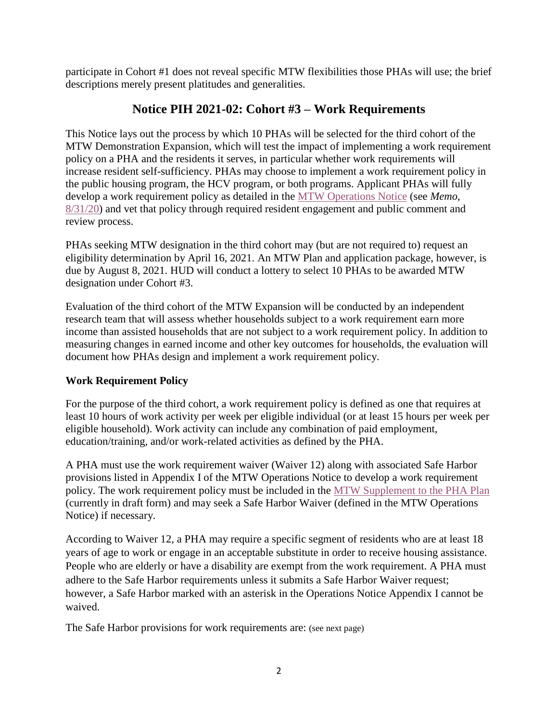participate in Cohort #1 does not reveal specific MTW flexibilities those PHAs will use; the brief descriptions merely present platitudes and generalities.

# **Notice PIH 2021-02: Cohort #3 – Work Requirements**

This Notice lays out the process by which 10 PHAs will be selected for the third cohort of the MTW Demonstration Expansion, which will test the impact of implementing a work requirement policy on a PHA and the residents it serves, in particular whether work requirements will increase resident self-sufficiency. PHAs may choose to implement a work requirement policy in the public housing program, the HCV program, or both programs. Applicant PHAs will fully develop a work requirement policy as detailed in the [MTW Operations Notice](https://www.govinfo.gov/content/pkg/FR-2020-08-28/pdf/2020-18152.pdf) (see *Memo*, [8/31/20\)](https://nlihc.org/resource/hud-pih-publishes-moving-work-mtw-expansion-operations-notice) and vet that policy through required resident engagement and public comment and review process.

PHAs seeking MTW designation in the third cohort may (but are not required to) request an eligibility determination by April 16, 2021. An MTW Plan and application package, however, is due by August 8, 2021. HUD will conduct a lottery to select 10 PHAs to be awarded MTW designation under Cohort #3.

Evaluation of the third cohort of the MTW Expansion will be conducted by an independent research team that will assess whether households subject to a work requirement earn more income than assisted households that are not subject to a work requirement policy. In addition to measuring changes in earned income and other key outcomes for households, the evaluation will document how PHAs design and implement a work requirement policy.

## **Work Requirement Policy**

For the purpose of the third cohort, a work requirement policy is defined as one that requires at least 10 hours of work activity per week per eligible individual (or at least 15 hours per week per eligible household). Work activity can include any combination of paid employment, education/training, and/or work-related activities as defined by the PHA.

A PHA must use the work requirement waiver (Waiver 12) along with associated Safe Harbor provisions listed in Appendix I of the MTW Operations Notice to develop a work requirement policy. The work requirement policy must be included in the [MTW Supplement to the PHA Plan](https://www.hud.gov/sites/dfiles/PIH/documents/MTWSupplementtotheAnnualPHAPlanFRPosting100918.pdf) (currently in draft form) and may seek a Safe Harbor Waiver (defined in the MTW Operations Notice) if necessary.

According to Waiver 12, a PHA may require a specific segment of residents who are at least 18 years of age to work or engage in an acceptable substitute in order to receive housing assistance. People who are elderly or have a disability are exempt from the work requirement. A PHA must adhere to the Safe Harbor requirements unless it submits a Safe Harbor Waiver request; however, a Safe Harbor marked with an asterisk in the Operations Notice Appendix I cannot be waived.

The Safe Harbor provisions for work requirements are: (see next page)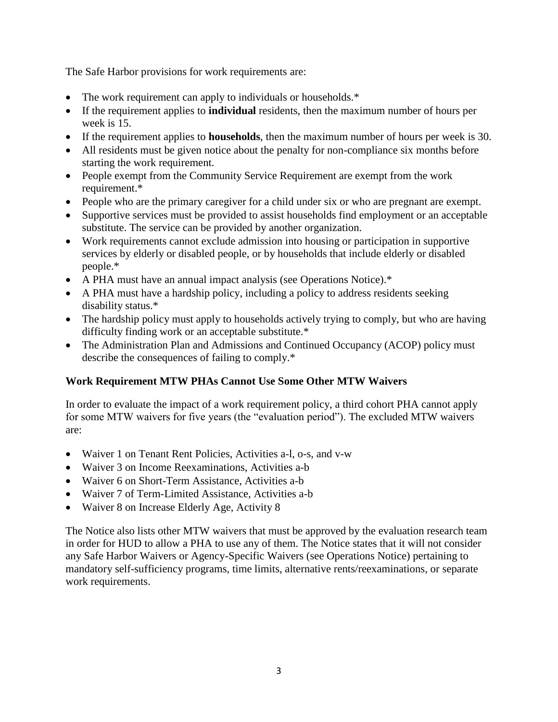The Safe Harbor provisions for work requirements are:

- The work requirement can apply to individuals or households.\*
- If the requirement applies to **individual** residents, then the maximum number of hours per week is 15.
- If the requirement applies to **households**, then the maximum number of hours per week is 30.
- All residents must be given notice about the penalty for non-compliance six months before starting the work requirement.
- People exempt from the Community Service Requirement are exempt from the work requirement.\*
- People who are the primary caregiver for a child under six or who are pregnant are exempt.
- Supportive services must be provided to assist households find employment or an acceptable substitute. The service can be provided by another organization.
- Work requirements cannot exclude admission into housing or participation in supportive services by elderly or disabled people, or by households that include elderly or disabled people.\*
- A PHA must have an annual impact analysis (see Operations Notice).\*
- A PHA must have a hardship policy, including a policy to address residents seeking disability status.\*
- The hardship policy must apply to households actively trying to comply, but who are having difficulty finding work or an acceptable substitute.\*
- The Administration Plan and Admissions and Continued Occupancy (ACOP) policy must describe the consequences of failing to comply.\*

## **Work Requirement MTW PHAs Cannot Use Some Other MTW Waivers**

In order to evaluate the impact of a work requirement policy, a third cohort PHA cannot apply for some MTW waivers for five years (the "evaluation period"). The excluded MTW waivers are:

- Waiver 1 on Tenant Rent Policies, Activities a-l, o-s, and v-w
- Waiver 3 on Income Reexaminations, Activities a-b
- Waiver 6 on Short-Term Assistance, Activities a-b
- Waiver 7 of Term-Limited Assistance, Activities a-b
- Waiver 8 on Increase Elderly Age, Activity 8

The Notice also lists other MTW waivers that must be approved by the evaluation research team in order for HUD to allow a PHA to use any of them. The Notice states that it will not consider any Safe Harbor Waivers or Agency-Specific Waivers (see Operations Notice) pertaining to mandatory self-sufficiency programs, time limits, alternative rents/reexaminations, or separate work requirements.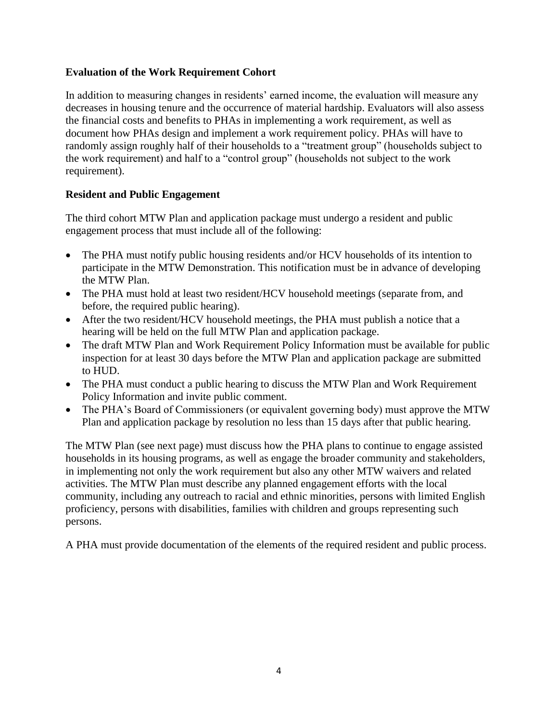## **Evaluation of the Work Requirement Cohort**

In addition to measuring changes in residents' earned income, the evaluation will measure any decreases in housing tenure and the occurrence of material hardship. Evaluators will also assess the financial costs and benefits to PHAs in implementing a work requirement, as well as document how PHAs design and implement a work requirement policy. PHAs will have to randomly assign roughly half of their households to a "treatment group" (households subject to the work requirement) and half to a "control group" (households not subject to the work requirement).

### **Resident and Public Engagement**

The third cohort MTW Plan and application package must undergo a resident and public engagement process that must include all of the following:

- The PHA must notify public housing residents and/or HCV households of its intention to participate in the MTW Demonstration. This notification must be in advance of developing the MTW Plan.
- The PHA must hold at least two resident/HCV household meetings (separate from, and before, the required public hearing).
- After the two resident/HCV household meetings, the PHA must publish a notice that a hearing will be held on the full MTW Plan and application package.
- The draft MTW Plan and Work Requirement Policy Information must be available for public inspection for at least 30 days before the MTW Plan and application package are submitted to HUD.
- The PHA must conduct a public hearing to discuss the MTW Plan and Work Requirement Policy Information and invite public comment.
- The PHA's Board of Commissioners (or equivalent governing body) must approve the MTW Plan and application package by resolution no less than 15 days after that public hearing.

The MTW Plan (see next page) must discuss how the PHA plans to continue to engage assisted households in its housing programs, as well as engage the broader community and stakeholders, in implementing not only the work requirement but also any other MTW waivers and related activities. The MTW Plan must describe any planned engagement efforts with the local community, including any outreach to racial and ethnic minorities, persons with limited English proficiency, persons with disabilities, families with children and groups representing such persons.

A PHA must provide documentation of the elements of the required resident and public process.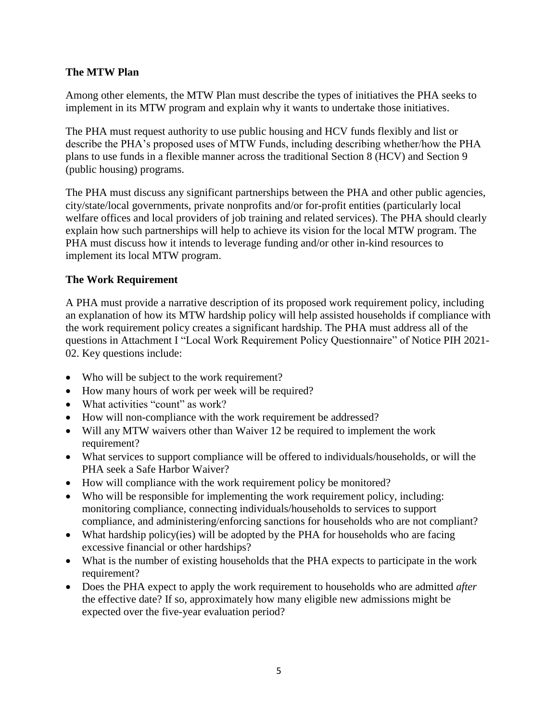## **The MTW Plan**

Among other elements, the MTW Plan must describe the types of initiatives the PHA seeks to implement in its MTW program and explain why it wants to undertake those initiatives.

The PHA must request authority to use public housing and HCV funds flexibly and list or describe the PHA's proposed uses of MTW Funds, including describing whether/how the PHA plans to use funds in a flexible manner across the traditional Section 8 (HCV) and Section 9 (public housing) programs.

The PHA must discuss any significant partnerships between the PHA and other public agencies, city/state/local governments, private nonprofits and/or for-profit entities (particularly local welfare offices and local providers of job training and related services). The PHA should clearly explain how such partnerships will help to achieve its vision for the local MTW program. The PHA must discuss how it intends to leverage funding and/or other in-kind resources to implement its local MTW program.

### **The Work Requirement**

A PHA must provide a narrative description of its proposed work requirement policy, including an explanation of how its MTW hardship policy will help assisted households if compliance with the work requirement policy creates a significant hardship. The PHA must address all of the questions in Attachment I "Local Work Requirement Policy Questionnaire" of Notice PIH 2021- 02. Key questions include:

- Who will be subject to the work requirement?
- How many hours of work per week will be required?
- What activities "count" as work?
- How will non-compliance with the work requirement be addressed?
- Will any MTW waivers other than Waiver 12 be required to implement the work requirement?
- What services to support compliance will be offered to individuals/households, or will the PHA seek a Safe Harbor Waiver?
- How will compliance with the work requirement policy be monitored?
- Who will be responsible for implementing the work requirement policy, including: monitoring compliance, connecting individuals/households to services to support compliance, and administering/enforcing sanctions for households who are not compliant?
- What hardship policy(ies) will be adopted by the PHA for households who are facing excessive financial or other hardships?
- What is the number of existing households that the PHA expects to participate in the work requirement?
- Does the PHA expect to apply the work requirement to households who are admitted *after*  the effective date? If so, approximately how many eligible new admissions might be expected over the five-year evaluation period?